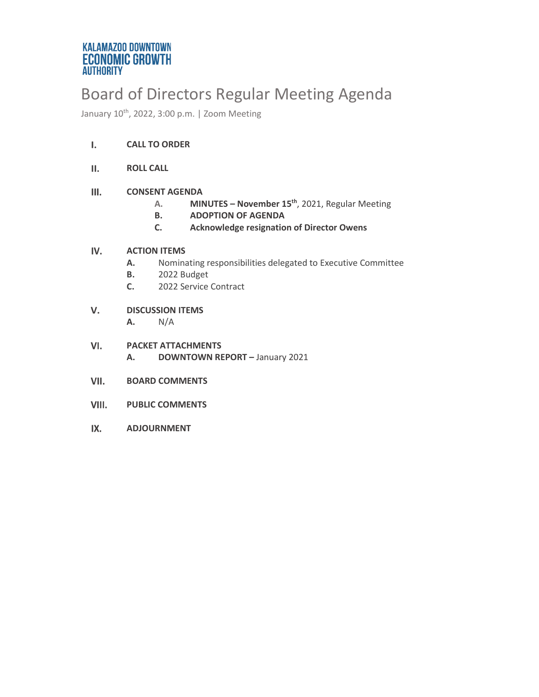# Board of Directors Regular Meeting Agenda

January 10<sup>th</sup>, 2022, 3:00 p.m. | Zoom Meeting

#### $\mathbf{L}$ **CALL TO ORDER**

II. **ROLL CALL**

#### $III.$ **CONSENT AGENDA**

- **A. MINUTES – November 15th**, 2021, Regular Meeting
- **B. ADOPTION OF AGENDA**
- **C. Acknowledge resignation of Director Owens**

#### IV. **ACTION ITEMS**

- **A.** Nominating responsibilities delegated to Executive Committee
- **B.** 2022 Budget
- **C.** 2022 Service Contract
- V. **DISCUSSION ITEMS A.** N/A
- VI. **PACKET ATTACHMENTS A. DOWNTOWN REPORT –** January 2021
- VII. **BOARD COMMENTS**
- VIII. **PUBLIC COMMENTS**
- IX. **ADJOURNMENT**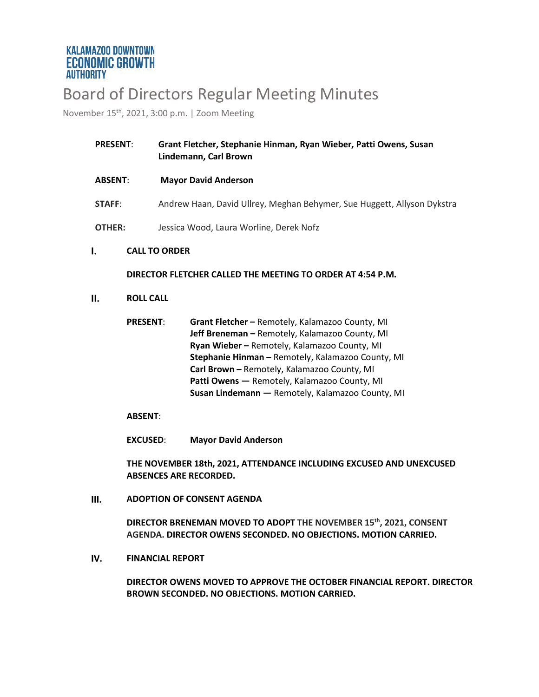# Board of Directors Regular Meeting Minutes

November 15th, 2021, 3:00 p.m. | Zoom Meeting

| <b>PRESENT:</b> | Grant Fletcher, Stephanie Hinman, Ryan Wieber, Patti Owens, Susan<br>Lindemann, Carl Brown |  |  |
|-----------------|--------------------------------------------------------------------------------------------|--|--|
| <b>ABSENT:</b>  | <b>Mayor David Anderson</b>                                                                |  |  |
| <b>STAFF:</b>   | Andrew Haan, David Ullrey, Meghan Behymer, Sue Huggett, Allyson Dykstra                    |  |  |
| <b>OTHER:</b>   | Jessica Wood, Laura Worline, Derek Nofz                                                    |  |  |

#### $\mathbf{I}$ . **CALL TO ORDER**

## **DIRECTOR FLETCHER CALLED THE MEETING TO ORDER AT 4:54 P.M.**

 $II.$ **ROLL CALL**

| <b>PRESENT:</b> | Grant Fletcher - Remotely, Kalamazoo County, MI     |
|-----------------|-----------------------------------------------------|
|                 | Jeff Breneman - Remotely, Kalamazoo County, MI      |
|                 | Ryan Wieber - Remotely, Kalamazoo County, MI        |
|                 | Stephanie Hinman - Remotely, Kalamazoo County, MI   |
|                 | Carl Brown - Remotely, Kalamazoo County, MI         |
|                 | <b>Patti Owens</b> — Remotely, Kalamazoo County, MI |
|                 | Susan Lindemann - Remotely, Kalamazoo County, MI    |

## **ABSENT**:

**EXCUSED**: **Mayor David Anderson**

**THE NOVEMBER 18th, 2021, ATTENDANCE INCLUDING EXCUSED AND UNEXCUSED ABSENCES ARE RECORDED.** 

 $III.$ **ADOPTION OF CONSENT AGENDA**

> **DIRECTOR BRENEMAN MOVED TO ADOPT THE NOVEMBER 15th, 2021, CONSENT AGENDA. DIRECTOR OWENS SECONDED. NO OBJECTIONS. MOTION CARRIED.**

IV. **FINANCIAL REPORT**

> **DIRECTOR OWENS MOVED TO APPROVE THE OCTOBER FINANCIAL REPORT. DIRECTOR BROWN SECONDED. NO OBJECTIONS. MOTION CARRIED.**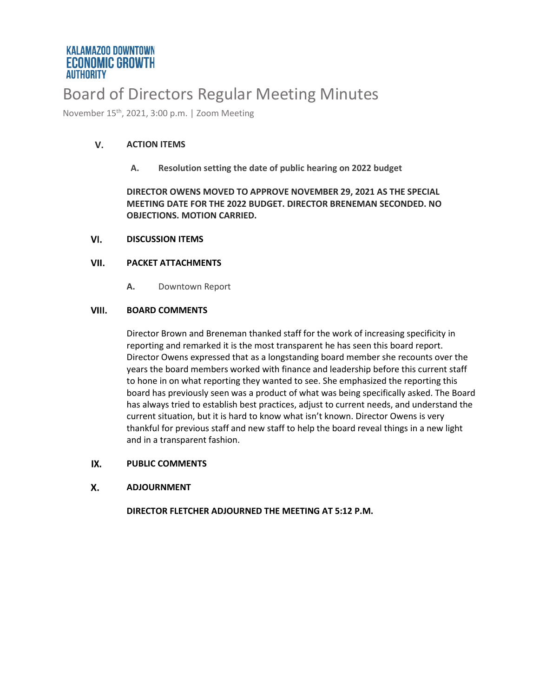# Board of Directors Regular Meeting Minutes

November 15th, 2021, 3:00 p.m. | Zoom Meeting

#### V. **ACTION ITEMS**

**A. Resolution setting the date of public hearing on 2022 budget**

**DIRECTOR OWENS MOVED TO APPROVE NOVEMBER 29, 2021 AS THE SPECIAL MEETING DATE FOR THE 2022 BUDGET. DIRECTOR BRENEMAN SECONDED. NO OBJECTIONS. MOTION CARRIED.**

#### VI. **DISCUSSION ITEMS**

#### VII. **PACKET ATTACHMENTS**

**A.** Downtown Report

#### VIII. **BOARD COMMENTS**

Director Brown and Breneman thanked staff for the work of increasing specificity in reporting and remarked it is the most transparent he has seen this board report. Director Owens expressed that as a longstanding board member she recounts over the years the board members worked with finance and leadership before this current staff to hone in on what reporting they wanted to see. She emphasized the reporting this board has previously seen was a product of what was being specifically asked. The Board has always tried to establish best practices, adjust to current needs, and understand the current situation, but it is hard to know what isn't known. Director Owens is very thankful for previous staff and new staff to help the board reveal things in a new light and in a transparent fashion.

#### IX. **PUBLIC COMMENTS**

#### Х. **ADJOURNMENT**

**DIRECTOR FLETCHER ADJOURNED THE MEETING AT 5:12 P.M.**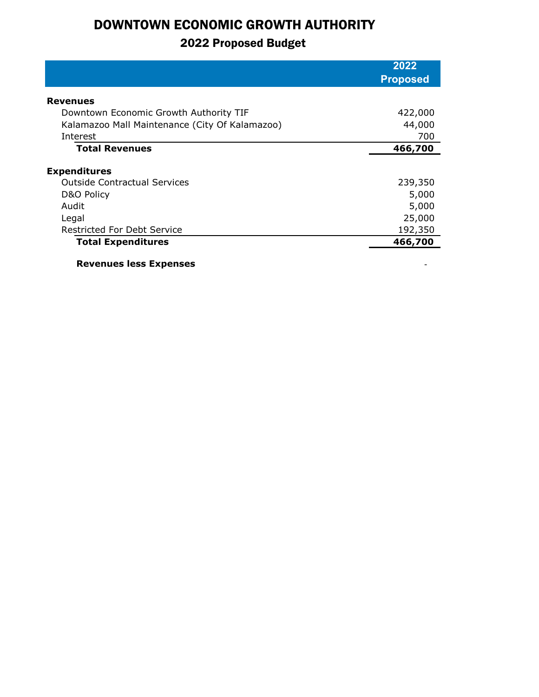# DOWNTOWN ECONOMIC GROWTH AUTHORITY

## 2022 Proposed Budget

|                                                | 2022            |
|------------------------------------------------|-----------------|
|                                                | <b>Proposed</b> |
| <b>Revenues</b>                                |                 |
| Downtown Economic Growth Authority TIF         | 422,000         |
| Kalamazoo Mall Maintenance (City Of Kalamazoo) | 44,000          |
| Interest                                       | 700             |
| <b>Total Revenues</b>                          | 466,700         |
|                                                |                 |
| <b>Expenditures</b>                            |                 |
| <b>Outside Contractual Services</b>            | 239,350         |
| D&O Policy                                     | 5,000           |
| Audit                                          | 5,000           |
| Legal                                          | 25,000          |
| <b>Restricted For Debt Service</b>             | 192,350         |
| <b>Total Expenditures</b>                      | 466,700         |
|                                                |                 |

**Revenues less Expenses**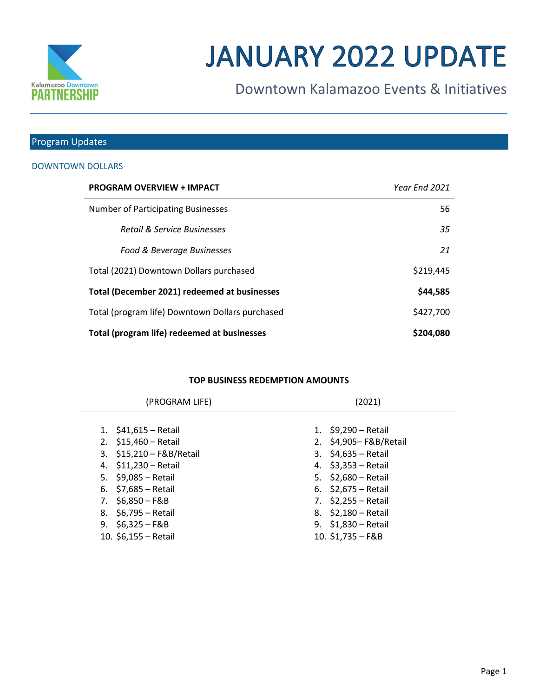

# **JANUARY 2022 UPDATE**

Downtown Kalamazoo Events & Initiatives

## Program Updates

## DOWNTOWN DOLLARS

| <b>PROGRAM OVERVIEW + IMPACT</b>                | Year Fnd 2021 |
|-------------------------------------------------|---------------|
| <b>Number of Participating Businesses</b>       | 56            |
| <b>Retail &amp; Service Businesses</b>          | 35            |
| Food & Beverage Businesses                      | 21            |
| Total (2021) Downtown Dollars purchased         | \$219,445     |
| Total (December 2021) redeemed at businesses    | \$44,585      |
| Total (program life) Downtown Dollars purchased | \$427,700     |
| Total (program life) redeemed at businesses     | \$204,080     |

### **TOP BUSINESS REDEMPTION AMOUNTS**

| (PROGRAM LIFE)           | (2021) |                       |  |
|--------------------------|--------|-----------------------|--|
| 1. $$41,615 - Retail$    |        | 1. $$9,290 - Retail$  |  |
| 2. $$15,460 - Retail$    |        | 2. \$4,905-F&B/Retail |  |
| 3. \$15,210 - F&B/Retail |        | 3. $$4,635 - Retail$  |  |
| 4. \$11,230 - Retail     |        | 4. \$3,353 - Retail   |  |
| 5. $$9,085 - Retail$     |        | 5. $$2,680 - Retail$  |  |
| 6. $$7,685 - Retail$     |        | 6. $$2,675 - Retail$  |  |
| 7. \$6,850 - F&B         |        | 7. $$2,255 - Retail$  |  |
| 8. \$6,795 – Retail      |        | 8. \$2,180 - Retail   |  |
| 9. $$6,325-F&B$          |        | 9. $$1,830 - Retail$  |  |
| 10. \$6,155 - Retail     |        | 10. \$1,735 - F&B     |  |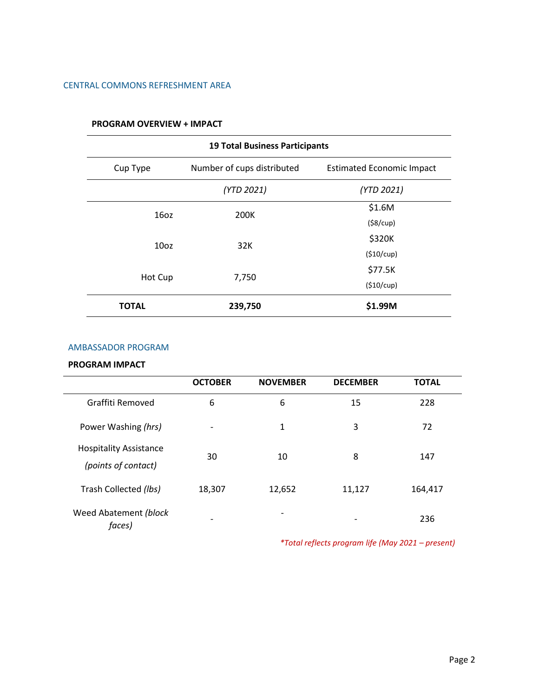## CENTRAL COMMONS REFRESHMENT AREA

|                  | <b>19 Total Business Participants</b> |                                  |  |  |
|------------------|---------------------------------------|----------------------------------|--|--|
| Cup Type         | Number of cups distributed            | <b>Estimated Economic Impact</b> |  |  |
|                  | (YTD 2021)                            | (YTD 2021)                       |  |  |
| 16 <sub>oz</sub> | 200K                                  | \$1.6M                           |  |  |
|                  |                                       | (\$8/cup)                        |  |  |
| 10 <sub>oz</sub> | 32K                                   | \$320K                           |  |  |
|                  |                                       | (\$10/cup)                       |  |  |
|                  |                                       | \$77.5K                          |  |  |
| Hot Cup          | 7,750                                 | (\$10/cup)                       |  |  |
| <b>TOTAL</b>     | 239,750                               | \$1.99M                          |  |  |

## **PROGRAM OVERVIEW + IMPACT**

#### AMBASSADOR PROGRAM

## **PROGRAM IMPACT**

|                                                      | <b>OCTOBER</b> | <b>NOVEMBER</b> | <b>DECEMBER</b> | <b>TOTAL</b> |
|------------------------------------------------------|----------------|-----------------|-----------------|--------------|
| Graffiti Removed                                     | 6              | 6               | 15              | 228          |
| Power Washing (hrs)                                  | -              | 1               | 3               | 72           |
| <b>Hospitality Assistance</b><br>(points of contact) | 30             | 10              | 8               | 147          |
| Trash Collected (lbs)                                | 18,307         | 12,652          | 11,127          | 164,417      |
| Weed Abatement (block<br>faces)                      |                |                 |                 | 236          |

*\*Total reflects program life (May 2021 – present)*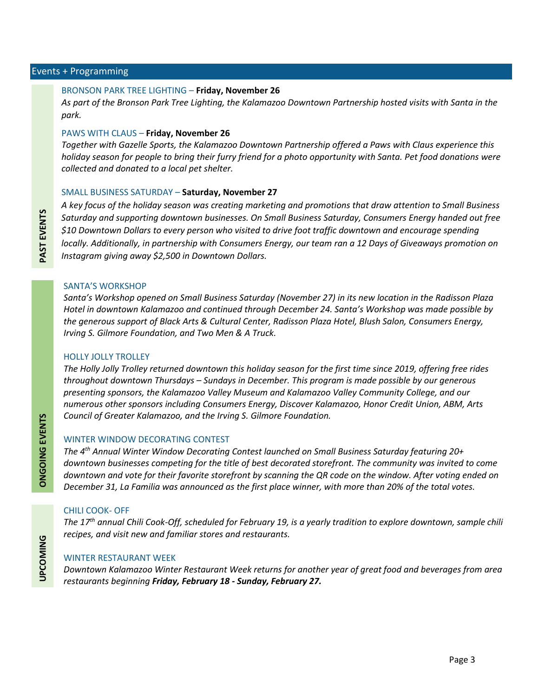#### Events + Programming

#### BRONSON PARK TREE LIGHTING – **Friday, November 26**

*As part of the Bronson Park Tree Lighting, the Kalamazoo Downtown Partnership hosted visits with Santa in the park.*

#### PAWS WITH CLAUS – **Friday, November 26**

*Together with Gazelle Sports, the Kalamazoo Downtown Partnership offered a Paws with Claus experience this holiday season for people to bring their furry friend for a photo opportunity with Santa. Pet food donations were collected and donated to a local pet shelter.*

#### SMALL BUSINESS SATURDAY – **Saturday, November 27**

*A key focus of the holiday season was creating marketing and promotions that draw attention to Small Business Saturday and supporting downtown businesses. On Small Business Saturday, Consumers Energy handed out free \$10 Downtown Dollars to every person who visited to drive foot traffic downtown and encourage spending locally. Additionally, in partnership with Consumers Energy, our team ran a 12 Days of Giveaways promotion on Instagram giving away \$2,500 in Downtown Dollars.* 

#### SANTA'S WORKSHOP

*Santa's Workshop opened on Small Business Saturday (November 27) in its new location in the Radisson Plaza Hotel in downtown Kalamazoo and continued through December 24. Santa's Workshop was made possible by the generous support of Black Arts & Cultural Center, Radisson Plaza Hotel, Blush Salon, Consumers Energy, Irving S. Gilmore Foundation, and Two Men & A Truck.*

#### HOLLY JOLLY TROLLEY

*The Holly Jolly Trolley returned downtown this holiday season for the first time since 2019, offering free rides throughout downtown Thursdays – Sundays in December. This program is made possible by our generous presenting sponsors, the Kalamazoo Valley Museum and Kalamazoo Valley Community College, and our numerous other sponsors including Consumers Energy, Discover Kalamazoo, Honor Credit Union, ABM, Arts Council of Greater Kalamazoo, and the Irving S. Gilmore Foundation.*

#### WINTER WINDOW DECORATING CONTEST

*The 4th Annual Winter Window Decorating Contest launched on Small Business Saturday featuring 20+ downtown businesses competing for the title of best decorated storefront. The community was invited to come downtown and vote for their favorite storefront by scanning the QR code on the window. After voting ended on December 31, La Familia was announced as the first place winner, with more than 20% of the total votes.* 

#### CHILI COOK- OFF

*The 17th annual Chili Cook-Off, scheduled for February 19, is a yearly tradition to explore downtown, sample chili recipes, and visit new and familiar stores and restaurants.*

#### WINTER RESTAURANT WEEK

*Downtown Kalamazoo Winter Restaurant Week returns for another year of great food and beverages from area restaurants beginning Friday, February 18 - Sunday, February 27.*